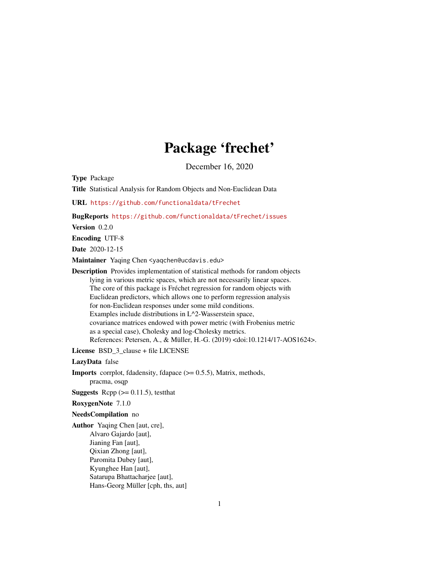# Package 'frechet'

December 16, 2020

<span id="page-0-0"></span>Type Package

Title Statistical Analysis for Random Objects and Non-Euclidean Data

URL <https://github.com/functionaldata/tFrechet>

BugReports <https://github.com/functionaldata/tFrechet/issues>

Version 0.2.0

Encoding UTF-8

Date 2020-12-15

Maintainer Yaqing Chen <yaqchen@ucdavis.edu>

Description Provides implementation of statistical methods for random objects lying in various metric spaces, which are not necessarily linear spaces. The core of this package is Fréchet regression for random objects with Euclidean predictors, which allows one to perform regression analysis for non-Euclidean responses under some mild conditions. Examples include distributions in L^2-Wasserstein space, covariance matrices endowed with power metric (with Frobenius metric as a special case), Cholesky and log-Cholesky metrics. References: Petersen, A., & Müller, H.-G. (2019) <doi:10.1214/17-AOS1624>.

License BSD\_3\_clause + file LICENSE

LazyData false

**Imports** corrplot, fdadensity, fdapace  $(>= 0.5.5)$ , Matrix, methods, pracma, osqp

**Suggests** Rcpp  $(>= 0.11.5)$ , testthat

RoxygenNote 7.1.0

#### NeedsCompilation no

Author Yaqing Chen [aut, cre], Alvaro Gajardo [aut], Jianing Fan [aut], Qixian Zhong [aut], Paromita Dubey [aut], Kyunghee Han [aut], Satarupa Bhattacharjee [aut], Hans-Georg Müller [cph, ths, aut]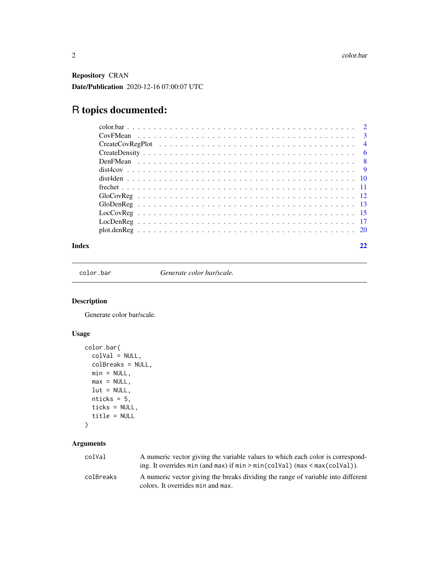<span id="page-1-0"></span>Repository CRAN Date/Publication 2020-12-16 07:00:07 UTC

# R topics documented:

|  | $\overline{4}$ |
|--|----------------|
|  |                |
|  |                |
|  |                |
|  |                |
|  |                |
|  |                |
|  |                |
|  |                |
|  |                |
|  |                |
|  |                |

#### **Index** [22](#page-21-0)

color.bar *Generate color bar/scale.*

#### Description

Generate color bar/scale.

#### Usage

```
color.bar(
  colVal = NULL,colBreaks = NULL,
  min = NULL,max = NULL,lut = NULL,nticks = 5,
  ticks = NULL,
  title = NULL
\mathcal{L}
```

| colVal    | A numeric vector giving the variable values to which each color is correspond-<br>ing. It overrides $min$ (and $max$ ) if $min$ > $min$ (colval) ( $max$ < $max$ (colval)). |
|-----------|-----------------------------------------------------------------------------------------------------------------------------------------------------------------------------|
| colBreaks | A numeric vector giving the breaks dividing the range of variable into different<br>colors. It overrides min and max.                                                       |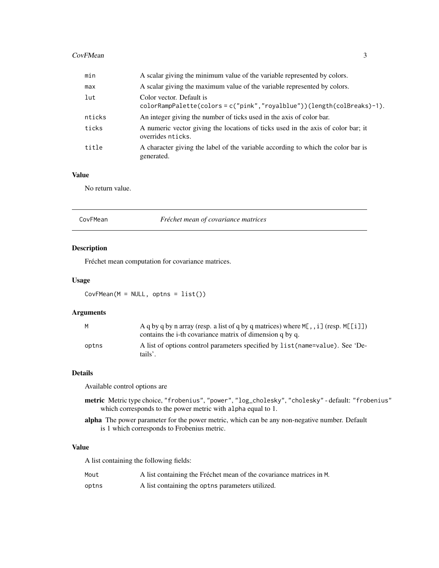#### <span id="page-2-0"></span>CovFMean 3

| min    | A scalar giving the minimum value of the variable represented by colors.                              |
|--------|-------------------------------------------------------------------------------------------------------|
| max    | A scalar giving the maximum value of the variable represented by colors.                              |
| lut    | Color vector. Default is<br>colorRampPalette(colors=c("pink","royalblue"))(length(colBreaks)-1).      |
| nticks | An integer giving the number of ticks used in the axis of color bar.                                  |
| ticks  | A numeric vector giving the locations of ticks used in the axis of color bar; it<br>overrides nticks. |
| title  | A character giving the label of the variable according to which the color bar is<br>generated.        |

#### Value

No return value.

<span id="page-2-1"></span>

| CovFMean | Fréchet mean of covariance matrices |
|----------|-------------------------------------|
|          |                                     |

#### Description

Fréchet mean computation for covariance matrices.

#### Usage

CovFMean(M = NULL, optns = list())

#### Arguments

| M     | A q by q by n array (resp. a list of q by q matrices) where $M[, i]$ (resp. $M[[i]]$ )<br>contains the i-th covariance matrix of dimension q by q. |
|-------|----------------------------------------------------------------------------------------------------------------------------------------------------|
| optns | A list of options control parameters specified by list (name=value). See 'De-<br>tails'.                                                           |

#### Details

Available control options are

- metric Metric type choice, "frobenius", "power", "log\_cholesky", "cholesky" default: "frobenius" which corresponds to the power metric with alpha equal to 1.
- alpha The power parameter for the power metric, which can be any non-negative number. Default is 1 which corresponds to Frobenius metric.

#### Value

A list containing the following fields:

| Mout  | A list containing the Fréchet mean of the covariance matrices in M. |
|-------|---------------------------------------------------------------------|
| optns | A list containing the optns parameters utilized.                    |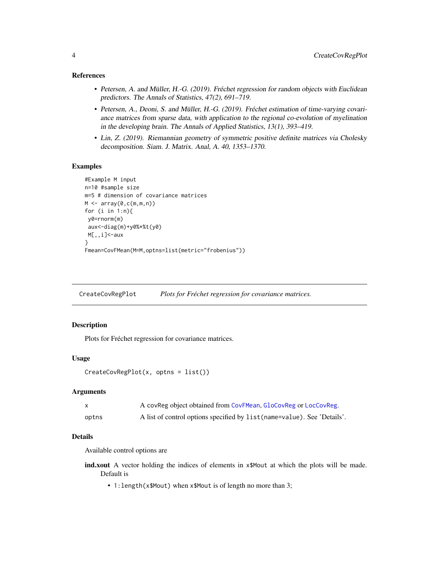#### <span id="page-3-0"></span>References

- Petersen, A. and Müller, H.-G. (2019). Fréchet regression for random objects with Euclidean predictors. The Annals of Statistics, 47(2), 691–719.
- Petersen, A., Deoni, S. and Müller, H.-G. (2019). Fréchet estimation of time-varying covariance matrices from sparse data, with application to the regional co-evolution of myelination in the developing brain. The Annals of Applied Statistics, 13(1), 393–419.
- Lin, Z. (2019). Riemannian geometry of symmetric positive definite matrices via Cholesky decomposition. Siam. J. Matrix. Anal, A. 40, 1353–1370.

#### Examples

```
#Example M input
n=10 #sample size
m=5 # dimension of covariance matrices
M \leftarrow \text{array}(\emptyset, \text{c}(\mathfrak{m}, \mathfrak{m}, \mathfrak{n}))for (i in 1:n){
 y0=rnorm(m)
 aux<-diag(m)+y0%*%t(y0)
 M[,,i]<-aux
}
Fmean=CovFMean(M=M,optns=list(metric="frobenius"))
```
CreateCovRegPlot *Plots for Fréchet regression for covariance matrices.*

#### Description

Plots for Fréchet regression for covariance matrices.

#### Usage

```
CreateCovRegPlot(x, optns = list())
```
#### Arguments

|       | A covReg object obtained from CovFMean, GloCovReg or LocCovReg.          |
|-------|--------------------------------------------------------------------------|
| optns | A list of control options specified by list (name=value). See 'Details'. |

#### Details

Available control options are

- ind.xout A vector holding the indices of elements in x\$Mout at which the plots will be made. Default is
	- 1:length(x\$Mout) when x\$Mout is of length no more than 3;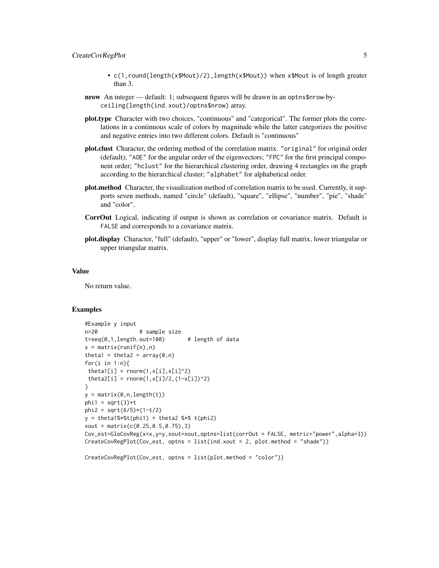#### CreateCovRegPlot 5

- c(1,round(length(x\$Mout)/2),length(x\$Mout)) when x\$Mout is of length greater than 3.
- nrow An integer default: 1; subsequent figures will be drawn in an optns\$nrow-byceiling(length(ind.xout)/optns\$nrow) array.
- plot.type Character with two choices, "continuous" and "categorical". The former plots the correlations in a continuous scale of colors by magnitude while the latter categorizes the positive and negative entries into two different colors. Default is "continuous"
- plot.clust Character, the ordering method of the correlation matrix. "original" for original order (default); "AOE" for the angular order of the eigenvectors; "FPC" for the first principal component order; "hclust" for the hierarchical clustering order, drawing 4 rectangles on the graph according to the hierarchical cluster; "alphabet" for alphabetical order.
- plot.method Character, the visualization method of correlation matrix to be used. Currently, it supports seven methods, named "circle" (default), "square", "ellipse", "number", "pie", "shade" and "color".
- CorrOut Logical, indicating if output is shown as correlation or covariance matrix. Default is FALSE and corresponds to a covariance matrix.
- plot.display Character, "full" (default), "upper" or "lower", display full matrix, lower triangular or upper triangular matrix.

#### Value

No return value.

#### Examples

```
#Example y input
n=20 # sample size
t=seq(0,1,length.out=100) # length of data
x = matrix(runif(n),n)theta1 = theta2 = array(0, n)for(i in 1:n){
theta1[i] = rnorm(1, x[i], x[i]^2)theta2[i] = rnorm(1, x[i]/2, (1-x[i])^2)}
y = matrix(0, n, length(t))phi1 = sqrt(3)*tphi2 = sqrt(6/5)*(1-t/2)y = \text{theta1%*%t(phi1) + theta2 %*% t(phi2)xout = matrix(c(0.25, 0.5, 0.75), 3)Cov_est=GloCovReg(x=x,y=y,xout=xout,optns=list(corrOut = FALSE, metric="power",alpha=3))
CreateCovRegPlot(Cov_est, optns = list(ind.xout = 2, plot.method = "shade"))
```

```
CreateCovRegPlot(Cov_est, optns = list(plot.method = "color"))
```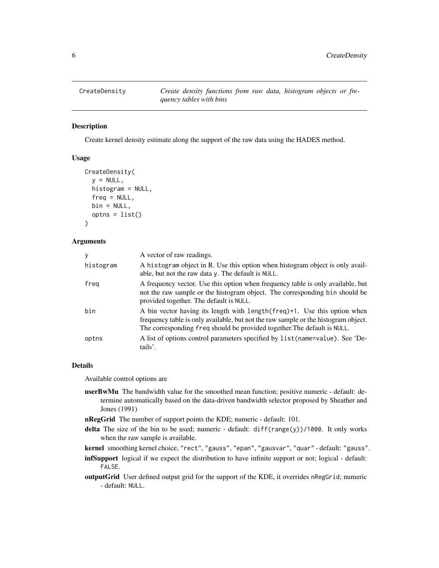<span id="page-5-0"></span>

#### Description

Create kernel density estimate along the support of the raw data using the HADES method.

#### Usage

```
CreateDensity(
  y = NULL,histogram = NULL,
  freq = NULL,
 bin = NULL,optns = list())
```
#### Arguments

| y         | A vector of raw readings.                                                                                                                                                                                                                   |
|-----------|---------------------------------------------------------------------------------------------------------------------------------------------------------------------------------------------------------------------------------------------|
| histogram | A histogram object in R. Use this option when histogram object is only avail-<br>able, but not the raw data y. The default is NULL.                                                                                                         |
| freg      | A frequency vector. Use this option when frequency table is only available, but<br>not the raw sample or the histogram object. The corresponding bin should be<br>provided together. The default is NULL.                                   |
| bin       | A bin vector having its length with length (freq)+1. Use this option when<br>frequency table is only available, but not the raw sample or the histogram object.<br>The corresponding freq should be provided together. The default is NULL. |
| optns     | A list of options control parameters specified by list (name=value). See 'De-<br>tails'.                                                                                                                                                    |

#### Details

Available control options are

- userBwMu The bandwidth value for the smoothed mean function; positive numeric default: determine automatically based on the data-driven bandwidth selector proposed by Sheather and Jones (1991)
- nRegGrid The number of support points the KDE; numeric default: 101.
- delta The size of the bin to be used; numeric default: diff(range(y))/1000. It only works when the raw sample is available.

kernel smoothing kernel choice, "rect", "gauss", "epan", "gausvar", "quar" - default: "gauss".

- infSupport logical if we expect the distribution to have infinite support or not; logical default: FALSE.
- outputGrid User defined output grid for the support of the KDE, it overrides nRegGrid; numeric - default: NULL.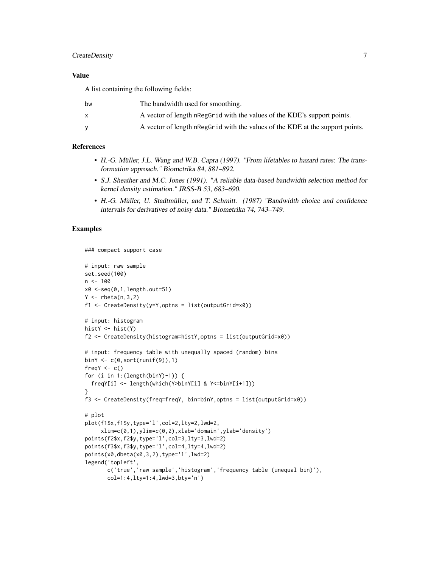#### CreateDensity 7

#### Value

A list containing the following fields:

| bw | The bandwidth used for smoothing.                                             |
|----|-------------------------------------------------------------------------------|
|    | A vector of length negonal with the values of the KDE's support points.       |
|    | A vector of length nRegGrid with the values of the KDE at the support points. |

#### References

- H.-G. Müller, J.L. Wang and W.B. Capra (1997). "From lifetables to hazard rates: The transformation approach." Biometrika 84, 881–892.
- S.J. Sheather and M.C. Jones (1991). "A reliable data-based bandwidth selection method for kernel density estimation." JRSS-B 53, 683–690.
- H.-G. Müller, U. Stadtmüller, and T. Schmitt. (1987) "Bandwidth choice and confidence intervals for derivatives of noisy data." Biometrika 74, 743–749.

#### Examples

```
### compact support case
# input: raw sample
set.seed(100)
n < -100x0 \le -seq(0,1,length.out=51)Y \leftarrow rbeta(n, 3, 2)f1 <- CreateDensity(y=Y,optns = list(outputGrid=x0))# input: histogram
histY <- hist(Y)
f2 <- CreateDensity(histogram=histY,optns = list(outputGrid=x0))
# input: frequency table with unequally spaced (random) bins
binY \leq c(0, sort(runif(9)), 1)freqY \leftarrow c()for (i in 1:(length(binY)-1)) {
  freqY[i] <- length(which(Y>binY[i] & Y<=binY[i+1]))
}
f3 <- CreateDensity(freq=freqY, bin=binY,optns = list(outputGrid=x0))
# plot
plot(f1$x,f1$y,type='l',col=2,lty=2,lwd=2,
     xlim=c(0,1),ylim=c(0,2),xlab='domain',ylab='density')
points(f2$x,f2$y,type='l',col=3,lty=3,lwd=2)
points(f3$x,f3$y,type='l',col=4,lty=4,lwd=2)
points(x0,dbeta(x0,3,2),type='l',lwd=2)
legend('topleft',
       c('true','raw sample','histogram','frequency table (unequal bin)'),
       col=1:4,lty=1:4,lwd=3,bty='n')
```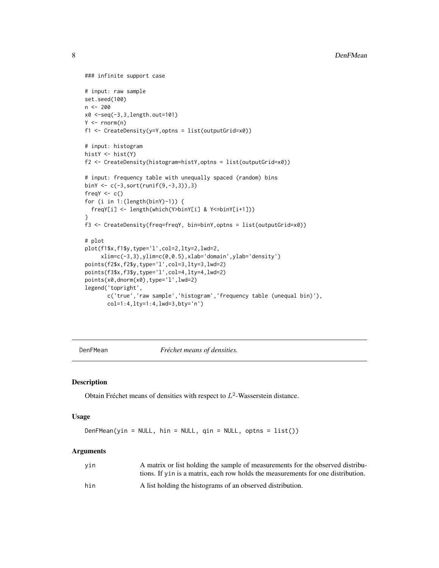```
### infinite support case
# input: raw sample
set.seed(100)
n <- 200
x0 <-seq(-3,3,length.out=101)
Y \leq -\text{norm}(n)f1 <- CreateDensity(y=Y,optns = list(outputGrid=x0))
# input: histogram
histY <- hist(Y)
f2 <- CreateDensity(histogram=histY,optns = list(outputGrid=x0))
# input: frequency table with unequally spaced (random) bins
binY <- c(-3,sort(runif(9,-3,3)),3)
freqY \leftarrow c()for (i in 1:(length(binY)-1)) {
  freqY[i] <- length(which(Y>binY[i] & Y<=binY[i+1]))
}
f3 <- CreateDensity(freq=freqY, bin=binY,optns = list(outputGrid=x0))
# plot
plot(f1$x,f1$y,type='l',col=2,lty=2,lwd=2,
     xlim=c(-3,3),ylim=c(0,0.5),xlab='domain',ylab='density')
points(f2$x,f2$y,type='l',col=3,lty=3,lwd=2)
points(f3$x,f3$y,type='l',col=4,lty=4,lwd=2)
points(x0,dnorm(x0),type='l',lwd=2)
legend('topright',
       c('true','raw sample','histogram','frequency table (unequal bin)'),
       col=1:4,lty=1:4,lwd=3,bty='n')
```
<span id="page-7-1"></span>

DenFMean *Fréchet means of densities.*

#### Description

Obtain Fréchet means of densities with respect to  $L^2$ -Wasserstein distance.

#### Usage

```
DenFMean(yin = NULL, hin = NULL, qin = NULL, optns = list())
```

| yin | A matrix or list holding the sample of measurements for the observed distribu-   |
|-----|----------------------------------------------------------------------------------|
|     | tions. If vin is a matrix, each row holds the measurements for one distribution. |
| hin | A list holding the histograms of an observed distribution.                       |

<span id="page-7-0"></span>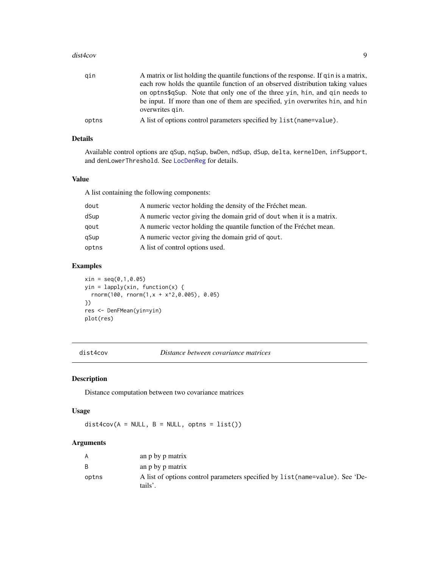#### <span id="page-8-0"></span>dist4cov 9

| qin   | A matrix or list holding the quantile functions of the response. If gin is a matrix,<br>each row holds the quantile function of an observed distribution taking values<br>on opting also note that only one of the three yin, hin, and gin needs to<br>be input. If more than one of them are specified, yin overwrites hin, and hin |
|-------|--------------------------------------------------------------------------------------------------------------------------------------------------------------------------------------------------------------------------------------------------------------------------------------------------------------------------------------|
|       | overwrites gin.                                                                                                                                                                                                                                                                                                                      |
| optns | A list of options control parameters specified by list (name=value).                                                                                                                                                                                                                                                                 |

#### Details

Available control options are qSup, nqSup, bwDen, ndSup, dSup, delta, kernelDen, infSupport, and denLowerThreshold. See [LocDenReg](#page-16-1) for details.

#### Value

A list containing the following components:

| dout  | A numeric vector holding the density of the Fréchet mean.            |
|-------|----------------------------------------------------------------------|
| dSup  | A numeric vector giving the domain grid of dout when it is a matrix. |
| gout  | A numeric vector holding the quantile function of the Fréchet mean.  |
| qSup  | A numeric vector giving the domain grid of qout.                     |
| optns | A list of control options used.                                      |

#### Examples

 $xin = seq(0, 1, 0.05)$ yin = lapply(xin, function(x) { rnorm(100, rnorm(1,x + x^2,0.005), 0.05) }) res <- DenFMean(yin=yin) plot(res)

dist4cov *Distance between covariance matrices*

#### Description

Distance computation between two covariance matrices

#### Usage

 $dist4cov(A = NULL, B = NULL, optns = list())$ 

| A     | an p by p matrix                                                                         |
|-------|------------------------------------------------------------------------------------------|
| R.    | an p by p matrix                                                                         |
| optns | A list of options control parameters specified by list (name=value). See 'De-<br>tails'. |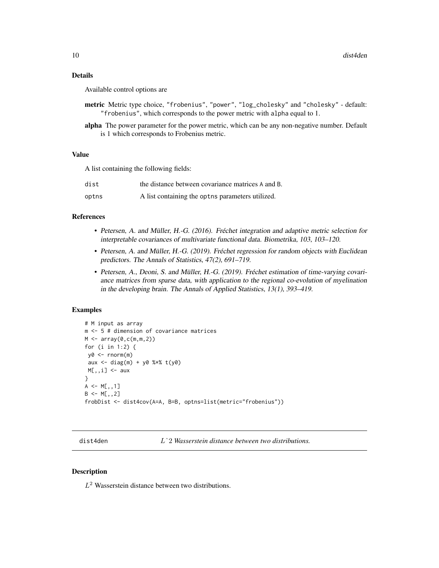#### <span id="page-9-0"></span>Details

Available control options are

- metric Metric type choice, "frobenius", "power", "log\_cholesky" and "cholesky" default: "frobenius", which corresponds to the power metric with alpha equal to 1.
- alpha The power parameter for the power metric, which can be any non-negative number. Default is 1 which corresponds to Frobenius metric.

#### Value

A list containing the following fields:

| dist  | the distance between covariance matrices A and B.     |
|-------|-------------------------------------------------------|
| optns | A list containing the opthermore parameters utilized. |

#### References

- Petersen, A. and Müller, H.-G. (2016). Fréchet integration and adaptive metric selection for interpretable covariances of multivariate functional data. Biometrika, 103, 103–120.
- Petersen, A. and Müller, H.-G. (2019). Fréchet regression for random objects with Euclidean predictors. The Annals of Statistics, 47(2), 691–719.
- Petersen, A., Deoni, S. and Müller, H.-G. (2019). Fréchet estimation of time-varying covariance matrices from sparse data, with application to the regional co-evolution of myelination in the developing brain. The Annals of Applied Statistics, 13(1), 393–419.

#### **Examples**

```
# M input as array
m <- 5 # dimension of covariance matrices
M < -array(0, c(m, m, 2))for (i in 1:2) {
y0 <- rnorm(m)
 aux <- diag(m) + y0 %*% t(y0)
M[,, i] <- aux
}
A \leq M[,,1]
B \le -M[,,2]
frobDist <- dist4cov(A=A, B=B, optns=list(metric="frobenius"))
```
dist4den Lˆ2 *Wasserstein distance between two distributions.*

#### Description

 $L^2$  Wasserstein distance between two distributions.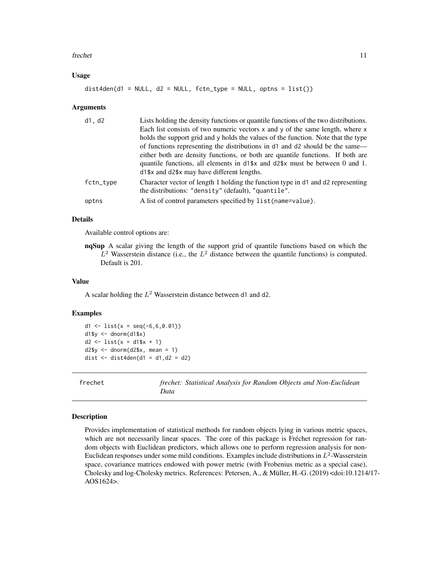#### <span id="page-10-0"></span>frechet 11

#### Usage

 $dist4den(d1 = NULL, d2 = NULL, fctn_type = NULL, optns = list())$ 

#### Arguments

| d1, d2    | Lists holding the density functions or quantile functions of the two distributions.                                                     |
|-----------|-----------------------------------------------------------------------------------------------------------------------------------------|
|           | Each list consists of two numeric vectors $x$ and $y$ of the same length, where $x$                                                     |
|           | holds the support grid and y holds the values of the function. Note that the type                                                       |
|           | of functions representing the distributions in d1 and d2 should be the same—                                                            |
|           | either both are density functions, or both are quantile functions. If both are                                                          |
|           | quantile functions, all elements in d1\$x and d2\$x must be between 0 and 1.                                                            |
|           | d1\$x and d2\$x may have different lengths.                                                                                             |
| fctn_type | Character vector of length 1 holding the function type in d1 and d2 representing<br>the distributions: "density" (default), "quantile". |
| optns     | A list of control parameters specified by list (name=value).                                                                            |
|           |                                                                                                                                         |

#### Details

Available control options are:

nqSup A scalar giving the length of the support grid of quantile functions based on which the  $L^2$  Wasserstein distance (i.e., the  $L^2$  distance between the quantile functions) is computed. Default is 201.

#### Value

A scalar holding the  $L^2$  Wasserstein distance between d1 and d2.

#### Examples

d1 <- list(x = seq(-6,6,0.01)) d1\$y <- dnorm(d1\$x)  $d2 \leq 1ist(x = d1$ \$x + 1)  $d2sy < -$  dnorm( $d2sx$ , mean = 1) dist  $\le$  dist4den(d1 = d1,d2 = d2)

frechet *frechet: Statistical Analysis for Random Objects and Non-Euclidean Data*

#### Description

Provides implementation of statistical methods for random objects lying in various metric spaces, which are not necessarily linear spaces. The core of this package is Fréchet regression for random objects with Euclidean predictors, which allows one to perform regression analysis for non-Euclidean responses under some mild conditions. Examples include distributions in  $L^2$ -Wasserstein space, covariance matrices endowed with power metric (with Frobenius metric as a special case), Cholesky and log-Cholesky metrics. References: Petersen, A., & Müller, H.-G. (2019) <doi:10.1214/17- AOS1624>.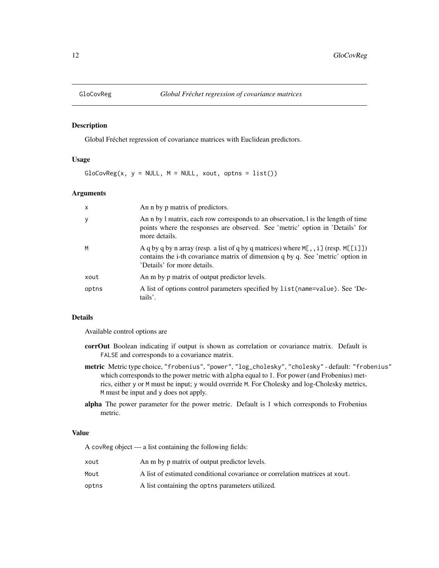<span id="page-11-1"></span><span id="page-11-0"></span>

#### Description

Global Fréchet regression of covariance matrices with Euclidean predictors.

#### Usage

 $GloCovReg(x, y = NULL, M = NULL, xout, optns = list())$ 

#### Arguments

| $\mathsf{x}$ | An n by p matrix of predictors.                                                                                                                                                                          |
|--------------|----------------------------------------------------------------------------------------------------------------------------------------------------------------------------------------------------------|
| y            | An n by 1 matrix, each row corresponds to an observation, 1 is the length of time<br>points where the responses are observed. See 'metric' option in 'Details' for<br>more details.                      |
| M            | A q by q by n array (resp. a list of q by q matrices) where $M[, i]$ (resp. $M[[i]]$ )<br>contains the i-th covariance matrix of dimension q by q. See 'metric' option in<br>'Details' for more details. |
| xout         | An m by p matrix of output predictor levels.                                                                                                                                                             |
| optns        | A list of options control parameters specified by list (name=value). See 'De-<br>tails'.                                                                                                                 |

#### Details

Available control options are

- corrOut Boolean indicating if output is shown as correlation or covariance matrix. Default is FALSE and corresponds to a covariance matrix.
- metric Metric type choice, "frobenius", "power", "log\_cholesky", "cholesky" default: "frobenius" which corresponds to the power metric with alpha equal to 1. For power (and Frobenius) metrics, either y or M must be input; y would override M. For Cholesky and log-Cholesky metrics, M must be input and y does not apply.
- alpha The power parameter for the power metric. Default is 1 which corresponds to Frobenius metric.

#### Value

A covReg object — a list containing the following fields:

| xout  | An m by p matrix of output predictor levels.                                |
|-------|-----------------------------------------------------------------------------|
| Mout  | A list of estimated conditional covariance or correlation matrices at xout. |
| optns | A list containing the opthermore, parameters utilized.                      |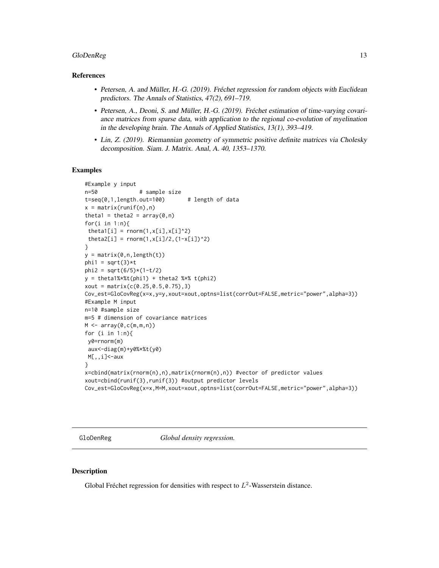#### <span id="page-12-0"></span>GloDenReg 13

#### References

- Petersen, A. and Müller, H.-G. (2019). Fréchet regression for random objects with Euclidean predictors. The Annals of Statistics, 47(2), 691–719.
- Petersen, A., Deoni, S. and Müller, H.-G. (2019). Fréchet estimation of time-varying covariance matrices from sparse data, with application to the regional co-evolution of myelination in the developing brain. The Annals of Applied Statistics, 13(1), 393–419.
- Lin, Z. (2019). Riemannian geometry of symmetric positive definite matrices via Cholesky decomposition. Siam. J. Matrix. Anal, A. 40, 1353–1370.

#### Examples

```
#Example y input
n=50 # sample size
t=seq(0,1,length.out=100) # length of data
x = matrix(runif(n),n)theta1 = theta2 = array(0, n)for(i in 1:n){
 theta1[i] = rnorm(1, x[i], x[i]^2)theta2[i] = rnorm(1, x[i]/2, (1-x[i])/2)}
y = matrix(0, n, length(t))phi1 = sqrt(3)*tphi2 = sqrt(6/5)*(1-t/2)y = \text{theta1%*%t(phi1) + theta2 %*% t(phi2)xout = matrix(c(0.25, 0.5, 0.75), 3)Cov_est=GloCovReg(x=x,y=y,xout=xout,optns=list(corrOut=FALSE,metric="power",alpha=3))
#Example M input
n=10 #sample size
m=5 # dimension of covariance matrices
M \leftarrow \text{array}(\emptyset, \text{c}(\text{m}, \text{m}, \text{n}))for (i in 1:n){
 y0=rnorm(m)
 aux<-diag(m)+y0%*%t(y0)
M[,,i]<-aux
}
x=cbind(matrix(rnorm(n),n),matrix(rnorm(n),n)) #vector of predictor values
xout=cbind(runif(3),runif(3)) #output predictor levels
Cov_est=GloCovReg(x=x,M=M,xout=xout,optns=list(corrOut=FALSE,metric="power",alpha=3))
```
<span id="page-12-1"></span>GloDenReg *Global density regression.*

#### Description

Global Fréchet regression for densities with respect to  $L^2$ -Wasserstein distance.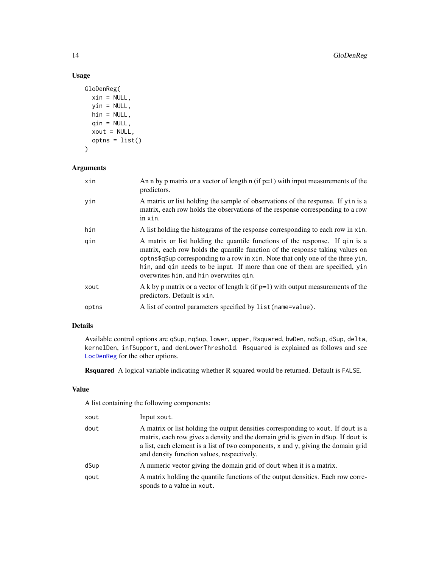### Usage

```
GloDenReg(
 xin = NULL,yin = NULL,
 hin = NULL,
 qin = NULL,xout = NULL,optns = list()\mathcal{L}
```
#### Arguments

| xin   | An n by p matrix or a vector of length $n$ (if $p=1$ ) with input measurements of the<br>predictors.                                                                                                                                                                                                                                                                       |
|-------|----------------------------------------------------------------------------------------------------------------------------------------------------------------------------------------------------------------------------------------------------------------------------------------------------------------------------------------------------------------------------|
| yin   | A matrix or list holding the sample of observations of the response. If yin is a<br>matrix, each row holds the observations of the response corresponding to a row<br>in xin.                                                                                                                                                                                              |
| hin   | A list holding the histograms of the response corresponding to each row in xin.                                                                                                                                                                                                                                                                                            |
| qin   | A matrix or list holding the quantile functions of the response. If qin is a<br>matrix, each row holds the quantile function of the response taking values on<br>optns\$qSup corresponding to a row in xin. Note that only one of the three yin,<br>hin, and gin needs to be input. If more than one of them are specified, yin<br>overwrites hin, and hin overwrites qin. |
| xout  | A k by p matrix or a vector of length k (if $p=1$ ) with output measurements of the<br>predictors. Default is xin.                                                                                                                                                                                                                                                         |
| optns | A list of control parameters specified by list (name=value).                                                                                                                                                                                                                                                                                                               |

#### Details

Available control options are qSup, nqSup, lower, upper, Rsquared, bwDen, ndSup, dSup, delta, kernelDen, infSupport, and denLowerThreshold. Rsquared is explained as follows and see [LocDenReg](#page-16-1) for the other options.

Rsquared A logical variable indicating whether R squared would be returned. Default is FALSE.

#### Value

A list containing the following components:

| xout | Input xout.                                                                                                                                                                                                                                                                                               |
|------|-----------------------------------------------------------------------------------------------------------------------------------------------------------------------------------------------------------------------------------------------------------------------------------------------------------|
| dout | A matrix or list holding the output densities corresponding to xout. If dout is a<br>matrix, each row gives a density and the domain grid is given in dSup. If dout is<br>a list, each element is a list of two components, x and y, giving the domain grid<br>and density function values, respectively. |
| dSup | A numeric vector giving the domain grid of dout when it is a matrix.                                                                                                                                                                                                                                      |
| qout | A matrix holding the quantile functions of the output densities. Each row corre-<br>sponds to a value in xout.                                                                                                                                                                                            |

<span id="page-13-0"></span>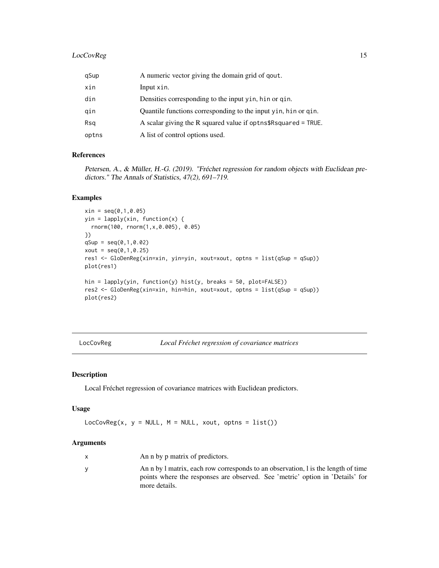#### <span id="page-14-0"></span>LocCovReg 15

| qSup  | A numeric vector giving the domain grid of qout.                |
|-------|-----------------------------------------------------------------|
| xin   | Input xin.                                                      |
| din   | Densities corresponding to the input yin, hin or qin.           |
| gin   | Quantile functions corresponding to the input yin, hin or qin.  |
| Rsg   | A scalar giving the R squared value if optns\$R squared = TRUE. |
| optns | A list of control options used.                                 |

#### References

Petersen, A., & Müller, H.-G. (2019). "Fréchet regression for random objects with Euclidean predictors." The Annals of Statistics, 47(2), 691–719.

#### Examples

```
xin = seq(0, 1, 0.05)yin = lapply(xin, function(x) {
 rnorm(100, rnorm(1,x,0.005), 0.05)
})
qSup = seq(0, 1, 0.02)xout = seq(0, 1, 0.25)res1 <- GloDenReg(xin=xin, yin=yin, xout=xout, optns = list(qSup = qSup))
plot(res1)
hin = lapply(yin, function(y) hist(y, breaks = 50, plot=FALSE))
res2 <- GloDenReg(xin=xin, hin=hin, xout=xout, optns = list(qSup = qSup))
plot(res2)
```
<span id="page-14-1"></span>LocCovReg *Local Fréchet regression of covariance matrices*

#### Description

Local Fréchet regression of covariance matrices with Euclidean predictors.

#### Usage

LocCovReg(x,  $y = NULL$ ,  $M = NULL$ , xout, optns = list())

| X | An n by p matrix of predictors.                                                   |
|---|-----------------------------------------------------------------------------------|
|   | An n by 1 matrix, each row corresponds to an observation, 1 is the length of time |
|   | points where the responses are observed. See 'metric' option in 'Details' for     |
|   | more details.                                                                     |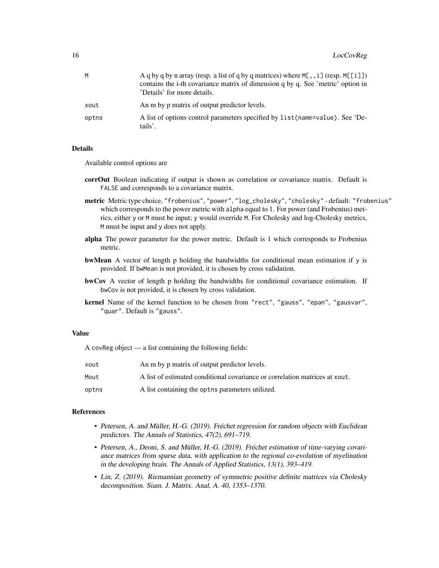| м     | A q by q by n array (resp. a list of q by q matrices) where $M$ [,, i] (resp. $M$ [[i]])<br>contains the i-th covariance matrix of dimension q by q. See 'metric' option in<br>'Details' for more details. |
|-------|------------------------------------------------------------------------------------------------------------------------------------------------------------------------------------------------------------|
| xout  | An m by p matrix of output predictor levels.                                                                                                                                                               |
| optns | A list of options control parameters specified by list (name=value). See 'De-<br>tails'.                                                                                                                   |

#### Details

Available control options are

- corrOut Boolean indicating if output is shown as correlation or covariance matrix. Default is FALSE and corresponds to a covariance matrix.
- metric Metric type choice, "frobenius", "power", "log\_cholesky", "cholesky" default: "frobenius" which corresponds to the power metric with alpha equal to 1. For power (and Frobenius) metrics, either y or M must be input; y would override M. For Cholesky and log-Cholesky metrics, M must be input and y does not apply.
- alpha The power parameter for the power metric. Default is 1 which corresponds to Frobenius metric.
- bwMean A vector of length p holding the bandwidths for conditional mean estimation if y is provided. If bwMean is not provided, it is chosen by cross validation.
- bwCov A vector of length p holding the bandwidths for conditional covariance estimation. If bwCov is not provided, it is chosen by cross validation.
- kernel Name of the kernel function to be chosen from "rect", "gauss", "epan", "gausvar", "quar". Default is "gauss".

#### Value

A covReg object — a list containing the following fields:

| xout  | An m by p matrix of output predictor levels.                                |
|-------|-----------------------------------------------------------------------------|
| Mout  | A list of estimated conditional covariance or correlation matrices at xout. |
| optns | A list containing the opties parameters utilized.                           |

#### References

- Petersen, A. and Müller, H.-G. (2019). Fréchet regression for random objects with Euclidean predictors. The Annals of Statistics, 47(2), 691–719.
- Petersen, A., Deoni, S. and Müller, H.-G. (2019). Fréchet estimation of time-varying covariance matrices from sparse data, with application to the regional co-evolution of myelination in the developing brain. The Annals of Applied Statistics, 13(1), 393–419.
- Lin, Z. (2019). Riemannian geometry of symmetric positive definite matrices via Cholesky decomposition. Siam. J. Matrix. Anal, A. 40, 1353–1370.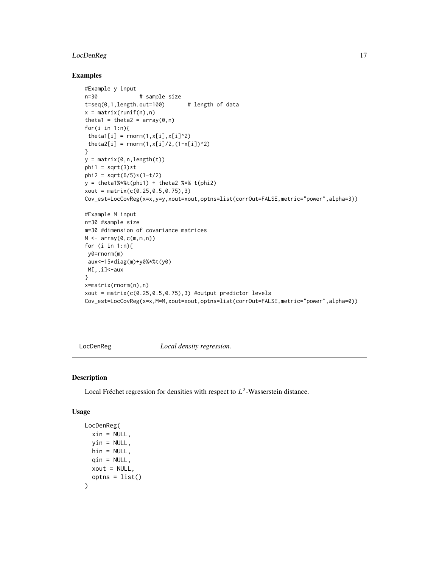#### <span id="page-16-0"></span>LocDenReg 17

#### Examples

```
#Example y input
n=30 # sample size
t=seq(0,1,length.out=100) # length of data
x = matrix(runif(n),n)theta1 = theta2 = array(\theta, n)for(i in 1:n){
 theta1[i] = rnorm(1, x[i], x[i]^2)theta2[i] = rnorm(1, x[i]/2, (1-x[i])/2)}
y = matrix(0, n, length(t))phi1 = sqrt(3)*tphi2 = sqrt(6/5)*(1-t/2)y = \text{theta1%*%t(phi1) + theta2 %*% t(phi2)xout = matrix(c(0.25, 0.5, 0.75), 3)Cov_est=LocCovReg(x=x,y=y,xout=xout,optns=list(corrOut=FALSE,metric="power",alpha=3))
#Example M input
n=30 #sample size
m=30 #dimension of covariance matrices
M \leftarrow \text{array}(\emptyset, \text{c}(m, m, n))for (i in 1:n){
 y0=rnorm(m)
 aux<-15*diag(m)+y0%*%t(y0)
M[,,i]<-aux
}
x=matrix(rnorm(n),n)
xout = matrix(c(0.25, 0.5, 0.75), 3) #output predictor levels
Cov_est=LocCovReg(x=x,M=M,xout=xout,optns=list(corrOut=FALSE,metric="power",alpha=0))
```
<span id="page-16-1"></span>LocDenReg *Local density regression.*

#### Description

Local Fréchet regression for densities with respect to  $L^2$ -Wasserstein distance.

#### Usage

```
LocDenReg(
 xin = NULL,vin = NULL,hin = NULL,
 qin = NULL,
 xout = NULL,optns = list()
)
```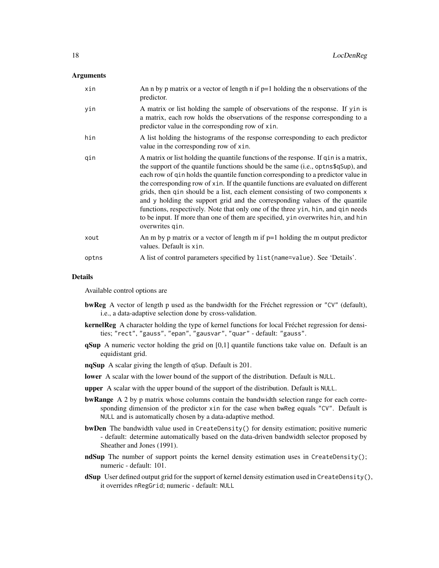#### Arguments

| xin   | An n by p matrix or a vector of length $n$ if $p=1$ holding the n observations of the<br>predictor.                                                                                                                                                                                                                                                                                                                                                                                                                                                                                                                                                                                                                |
|-------|--------------------------------------------------------------------------------------------------------------------------------------------------------------------------------------------------------------------------------------------------------------------------------------------------------------------------------------------------------------------------------------------------------------------------------------------------------------------------------------------------------------------------------------------------------------------------------------------------------------------------------------------------------------------------------------------------------------------|
| yin   | A matrix or list holding the sample of observations of the response. If yin is<br>a matrix, each row holds the observations of the response corresponding to a<br>predictor value in the corresponding row of xin.                                                                                                                                                                                                                                                                                                                                                                                                                                                                                                 |
| hin   | A list holding the histograms of the response corresponding to each predictor<br>value in the corresponding row of xin.                                                                                                                                                                                                                                                                                                                                                                                                                                                                                                                                                                                            |
| qin   | A matrix or list holding the quantile functions of the response. If q in is a matrix,<br>the support of the quantile functions should be the same (i.e., optos\$q\$up), and<br>each row of q in holds the quantile function corresponding to a predictor value in<br>the corresponding row of xin. If the quantile functions are evaluated on different<br>grids, then qin should be a list, each element consisting of two components x<br>and y holding the support grid and the corresponding values of the quantile<br>functions, respectively. Note that only one of the three yin, hin, and gin needs<br>to be input. If more than one of them are specified, yin overwrites hin, and hin<br>overwrites qin. |
| xout  | An m by p matrix or a vector of length m if $p=1$ holding the m output predictor<br>values. Default is xin.                                                                                                                                                                                                                                                                                                                                                                                                                                                                                                                                                                                                        |
| optns | A list of control parameters specified by list (name=value). See 'Details'.                                                                                                                                                                                                                                                                                                                                                                                                                                                                                                                                                                                                                                        |

#### Details

Available control options are

- bwReg A vector of length p used as the bandwidth for the Fréchet regression or "CV" (default), i.e., a data-adaptive selection done by cross-validation.
- **kernelReg** A character holding the type of kernel functions for local Fréchet regression for densities; "rect", "gauss", "epan", "gausvar", "quar" - default: "gauss".
- qSup A numeric vector holding the grid on [0,1] quantile functions take value on. Default is an equidistant grid.
- nqSup A scalar giving the length of qSup. Default is 201.
- lower A scalar with the lower bound of the support of the distribution. Default is NULL.
- upper A scalar with the upper bound of the support of the distribution. Default is NULL.
- **bwRange** A 2 by p matrix whose columns contain the bandwidth selection range for each corresponding dimension of the predictor xin for the case when bwReg equals "CV". Default is NULL and is automatically chosen by a data-adaptive method.
- bwDen The bandwidth value used in CreateDensity() for density estimation; positive numeric - default: determine automatically based on the data-driven bandwidth selector proposed by Sheather and Jones (1991).
- ndSup The number of support points the kernel density estimation uses in CreateDensity(); numeric - default: 101.
- dSup User defined output grid for the support of kernel density estimation used in CreateDensity(), it overrides nRegGrid; numeric - default: NULL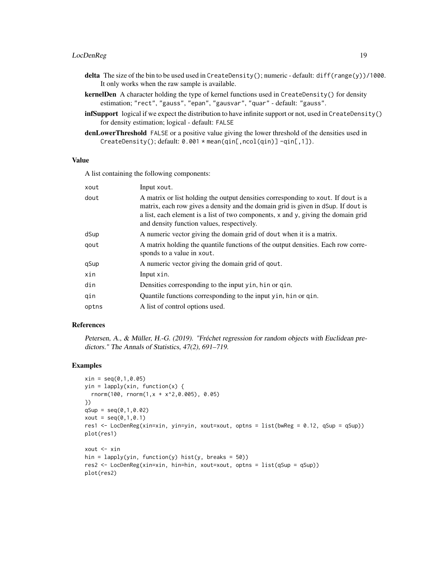#### LocDenReg 19

- delta The size of the bin to be used used in CreateDensity(); numeric default: diff(range(y))/1000. It only works when the raw sample is available.
- kernelDen A character holding the type of kernel functions used in CreateDensity() for density estimation; "rect", "gauss", "epan", "gausvar", "quar" - default: "gauss".
- infSupport logical if we expect the distribution to have infinite support or not, used in CreateDensity() for density estimation; logical - default: FALSE
- denLowerThreshold FALSE or a positive value giving the lower threshold of the densities used in CreateDensity();  $default: 0.001 * mean(qin[, ncol(qin)] -qin[, 1].$

#### Value

A list containing the following components:

| xout  | Input xout.                                                                                                                                                                                                                                                                                               |
|-------|-----------------------------------------------------------------------------------------------------------------------------------------------------------------------------------------------------------------------------------------------------------------------------------------------------------|
| dout  | A matrix or list holding the output densities corresponding to xout. If dout is a<br>matrix, each row gives a density and the domain grid is given in dSup. If dout is<br>a list, each element is a list of two components, x and y, giving the domain grid<br>and density function values, respectively. |
| dSup  | A numeric vector giving the domain grid of dout when it is a matrix.                                                                                                                                                                                                                                      |
| qout  | A matrix holding the quantile functions of the output densities. Each row corre-<br>sponds to a value in xout.                                                                                                                                                                                            |
| qSup  | A numeric vector giving the domain grid of qout.                                                                                                                                                                                                                                                          |
| xin   | Input xin.                                                                                                                                                                                                                                                                                                |
| din   | Densities corresponding to the input yin, hin or qin.                                                                                                                                                                                                                                                     |
| qin   | Quantile functions corresponding to the input yin, hin or qin.                                                                                                                                                                                                                                            |
| optns | A list of control options used.                                                                                                                                                                                                                                                                           |

#### References

Petersen, A., & Müller, H.-G. (2019). "Fréchet regression for random objects with Euclidean predictors." The Annals of Statistics, 47(2), 691–719.

#### Examples

```
xin = seq(0, 1, 0.05)yin = lapply(xin, function(x) {
  rnorm(100, rnorm(1,x + x^2,0.005), 0.05)
})
qSup = seq(0, 1, 0.02)xout = seq(0, 1, 0.1)res1 <- LocDenReg(xin=xin, yin=yin, xout=xout, optns = list(bwReg = 0.12, qSup = qSup))
plot(res1)
xout <- xin
hin = lapply(yin, function(y) hist(y, breaks = 50))
res2 <- LocDenReg(xin=xin, hin=hin, xout=xout, optns = list(qSup = qSup))
plot(res2)
```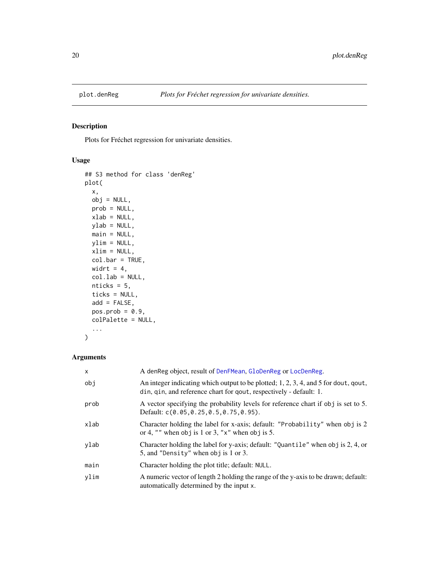<span id="page-19-0"></span>

#### Description

Plots for Fréchet regression for univariate densities.

#### Usage

```
## S3 method for class 'denReg'
plot(
 x,
 obj = NULL,prob = NULL,
 xlab = NULL,
 ylab = NULL,
 main = NULL,
 ylim = NULL,
 xlim = NULL,col.bar = TRUE,
 widrt = 4,
 col.lab = NULL,nticks = 5,
 ticks = NULL,
 add = FALSE,pos.prob = 0.9,
 colPalette = NULL,
  ...
```

```
)
```

| $\mathsf{x}$ | A denReg object, result of DenFMean, GloDenReg or LocDenReg.                                                                                              |
|--------------|-----------------------------------------------------------------------------------------------------------------------------------------------------------|
| obi          | An integer indicating which output to be plotted; 1, 2, 3, 4, and 5 for dout, qout,<br>din, qin, and reference chart for qout, respectively - default: 1. |
| prob         | A vector specifying the probability levels for reference chart if obj is set to 5.<br>Default: c(0.05,0.25,0.5,0.75,0.95).                                |
| xlab         | Character holding the label for x-axis; default: "Probability" when obj is 2<br>or 4, "" when obj is 1 or 3, " $x$ " when obj is 5.                       |
| ylab         | Character holding the label for y-axis; default: "Quantile" when obj is 2, 4, or<br>5, and "Density" when obj is 1 or 3.                                  |
| main         | Character holding the plot title; default: NULL.                                                                                                          |
| ylim         | A numeric vector of length 2 holding the range of the y-axis to be drawn; default:<br>automatically determined by the input x.                            |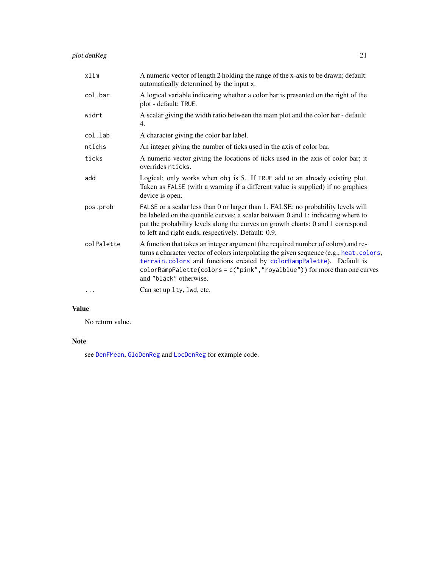<span id="page-20-0"></span>

| xlim       | A numeric vector of length 2 holding the range of the x-axis to be drawn; default:<br>automatically determined by the input x.                                                                                                                                                                                                                              |
|------------|-------------------------------------------------------------------------------------------------------------------------------------------------------------------------------------------------------------------------------------------------------------------------------------------------------------------------------------------------------------|
| col.bar    | A logical variable indicating whether a color bar is presented on the right of the<br>plot - default: TRUE.                                                                                                                                                                                                                                                 |
| widrt      | A scalar giving the width ratio between the main plot and the color bar - default:<br>4.                                                                                                                                                                                                                                                                    |
| col.lab    | A character giving the color bar label.                                                                                                                                                                                                                                                                                                                     |
| nticks     | An integer giving the number of ticks used in the axis of color bar.                                                                                                                                                                                                                                                                                        |
| ticks      | A numeric vector giving the locations of ticks used in the axis of color bar; it<br>overrides nticks.                                                                                                                                                                                                                                                       |
| add        | Logical; only works when obj is 5. If TRUE add to an already existing plot.<br>Taken as FALSE (with a warning if a different value is supplied) if no graphics<br>device is open.                                                                                                                                                                           |
| pos.prob   | FALSE or a scalar less than 0 or larger than 1. FALSE: no probability levels will<br>be labeled on the quantile curves; a scalar between 0 and 1: indicating where to<br>put the probability levels along the curves on growth charts: 0 and 1 correspond<br>to left and right ends, respectively. Default: 0.9.                                            |
| colPalette | A function that takes an integer argument (the required number of colors) and re-<br>turns a character vector of colors interpolating the given sequence (e.g., heat. colors,<br>terrain.colors and functions created by colorRampPalette). Default is<br>colorRampPalette(colors=c("pink","royalblue")) for more than one curves<br>and "black" otherwise. |
| $\cdots$   | Can set up 1ty, 1wd, etc.                                                                                                                                                                                                                                                                                                                                   |

#### Value

No return value.

#### Note

see [DenFMean](#page-7-1), [GloDenReg](#page-12-1) and [LocDenReg](#page-16-1) for example code.